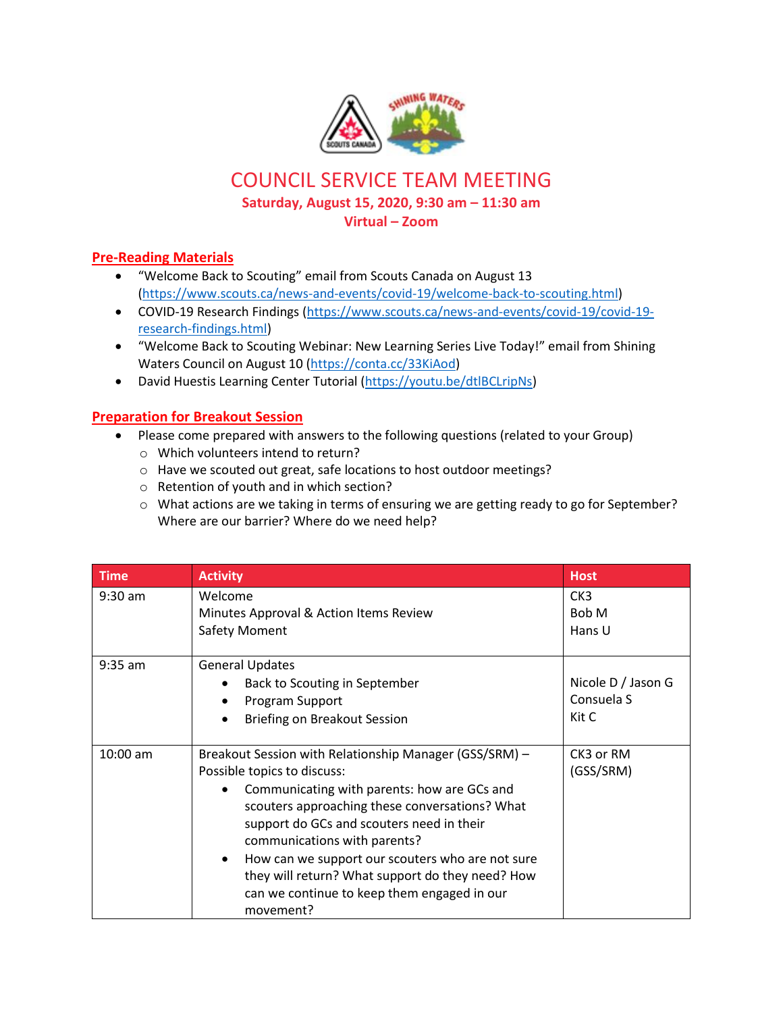

COUNCIL SERVICE TEAM MEETING

**Saturday, August 15, 2020, 9:30 am – 11:30 am**

**Virtual – Zoom**

## **Pre-Reading Materials**

- "Welcome Back to Scouting" email from Scouts Canada on August 13 [\(https://www.scouts.ca/news-and-events/covid-19/welcome-back-to-scouting.html\)](https://www.scouts.ca/news-and-events/covid-19/welcome-back-to-scouting.html)
- COVID-19 Research Findings [\(https://www.scouts.ca/news-and-events/covid-19/covid-19](https://www.scouts.ca/news-and-events/covid-19/covid-19-research-findings.html) [research-findings.html\)](https://www.scouts.ca/news-and-events/covid-19/covid-19-research-findings.html)
- "Welcome Back to Scouting Webinar: New Learning Series Live Today!" email from Shining Waters Council on August 10 [\(https://conta.cc/33KiAod\)](about:blank)
- David Huestis Learning Center Tutorial [\(https://youtu.be/dtlBCLripNs\)](about:blank)

## **Preparation for Breakout Session**

- Please come prepared with answers to the following questions (related to your Group)
	- o Which volunteers intend to return?
	- o Have we scouted out great, safe locations to host outdoor meetings?
	- o Retention of youth and in which section?
	- o What actions are we taking in terms of ensuring we are getting ready to go for September? Where are our barrier? Where do we need help?

| <b>Time</b> | <b>Activity</b>                                                                                                                                                                                                                                                                                                                                                                                                                                      | <b>Host</b>                               |
|-------------|------------------------------------------------------------------------------------------------------------------------------------------------------------------------------------------------------------------------------------------------------------------------------------------------------------------------------------------------------------------------------------------------------------------------------------------------------|-------------------------------------------|
| $9:30$ am   | Welcome<br>Minutes Approval & Action Items Review<br>Safety Moment                                                                                                                                                                                                                                                                                                                                                                                   | CK <sub>3</sub><br>Bob M<br>Hans U        |
| $9:35$ am   | <b>General Updates</b><br>Back to Scouting in September<br>Program Support<br>Briefing on Breakout Session<br>$\bullet$                                                                                                                                                                                                                                                                                                                              | Nicole D / Jason G<br>Consuela S<br>Kit C |
| $10:00$ am  | Breakout Session with Relationship Manager (GSS/SRM) -<br>Possible topics to discuss:<br>Communicating with parents: how are GCs and<br>scouters approaching these conversations? What<br>support do GCs and scouters need in their<br>communications with parents?<br>How can we support our scouters who are not sure<br>$\bullet$<br>they will return? What support do they need? How<br>can we continue to keep them engaged in our<br>movement? | CK3 or RM<br>(GSS/SRM)                    |